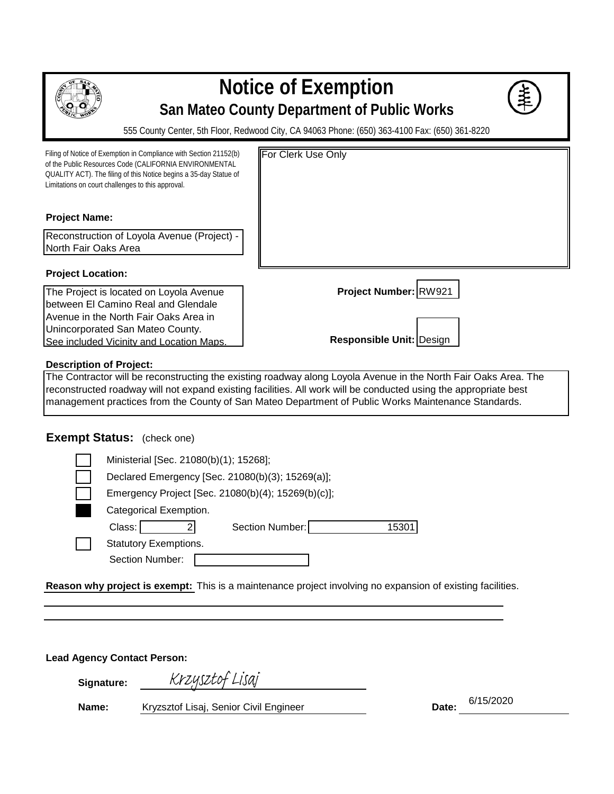

## **Notice of Exemption San Mateo County Department of Public Works**

555 County Center, 5th Floor, Redwood City, CA 94063 Phone: (650) 363-4100 Fax: (650) 361-8220

| Filing of Notice of Exemption in Compliance with Section 21152(b)<br>of the Public Resources Code (CALIFORNIA ENVIRONMENTAL<br>QUALITY ACT). The filing of this Notice begins a 35-day Statue of<br>Limitations on court challenges to this approval. | <b>For Clerk Use Only</b>       |
|-------------------------------------------------------------------------------------------------------------------------------------------------------------------------------------------------------------------------------------------------------|---------------------------------|
| <b>Project Name:</b>                                                                                                                                                                                                                                  |                                 |
| Reconstruction of Loyola Avenue (Project) -                                                                                                                                                                                                           |                                 |
| North Fair Oaks Area                                                                                                                                                                                                                                  |                                 |
| <b>Project Location:</b>                                                                                                                                                                                                                              |                                 |
| The Project is located on Loyola Avenue                                                                                                                                                                                                               | Project Number: RW921           |
| Ibetween El Camino Real and Glendale                                                                                                                                                                                                                  |                                 |
| Avenue in the North Fair Oaks Area in                                                                                                                                                                                                                 |                                 |
| Unincorporated San Mateo County.                                                                                                                                                                                                                      |                                 |
| See included Vicinity and Location Maps.                                                                                                                                                                                                              | <b>Responsible Unit: Design</b> |
| <b>Description of Project:</b>                                                                                                                                                                                                                        |                                 |

The Contractor will be reconstructing the existing roadway along Loyola Avenue in the North Fair Oaks Area. The reconstructed roadway will not expand existing facilities. All work will be conducted using the appropriate best management practices from the County of San Mateo Department of Public Works Maintenance Standards.

## **Exempt Status:** (check one)

| Ministerial [Sec. 21080(b)(1); 15268];             |  |  |  |  |  |  |  |  |  |  |  |
|----------------------------------------------------|--|--|--|--|--|--|--|--|--|--|--|
| Declared Emergency [Sec. 21080(b)(3); 15269(a)];   |  |  |  |  |  |  |  |  |  |  |  |
| Emergency Project [Sec. 21080(b)(4); 15269(b)(c)]; |  |  |  |  |  |  |  |  |  |  |  |
| Categorical Exemption.                             |  |  |  |  |  |  |  |  |  |  |  |
| Class:<br>Section Number:<br>1530                  |  |  |  |  |  |  |  |  |  |  |  |
| <b>Statutory Exemptions.</b>                       |  |  |  |  |  |  |  |  |  |  |  |
| Section Number:                                    |  |  |  |  |  |  |  |  |  |  |  |

Reason why project is exempt: This is a maintenance project involving no expansion of existing facilities.

**Lead Agency Contact Person:** 

**Signature:**

Krzysztof Lisaj

**Name:** Kryzsztof Lisaj, Senior Civil Engineer **Date: Date: Date:** 

6/15/2020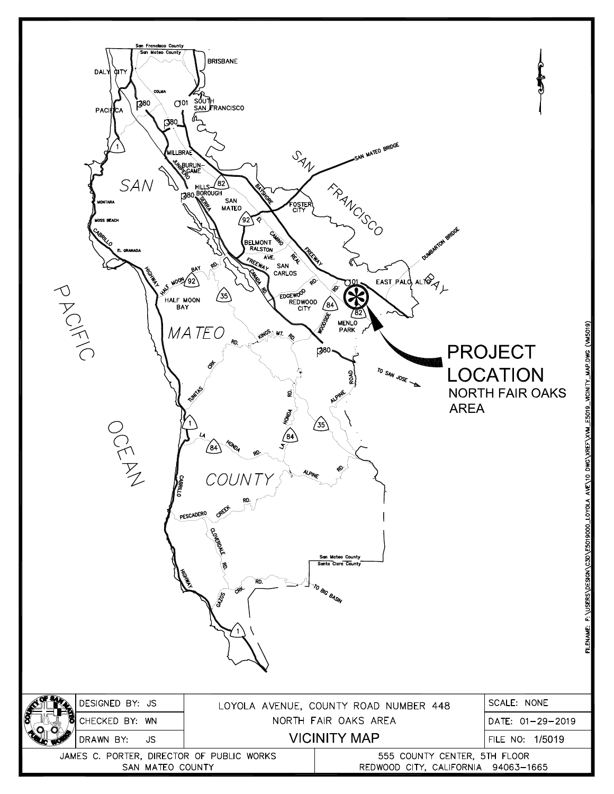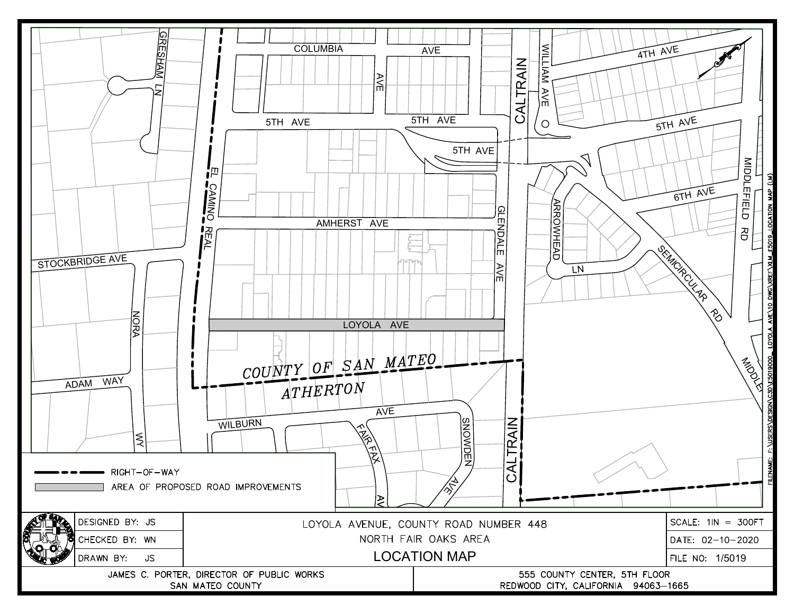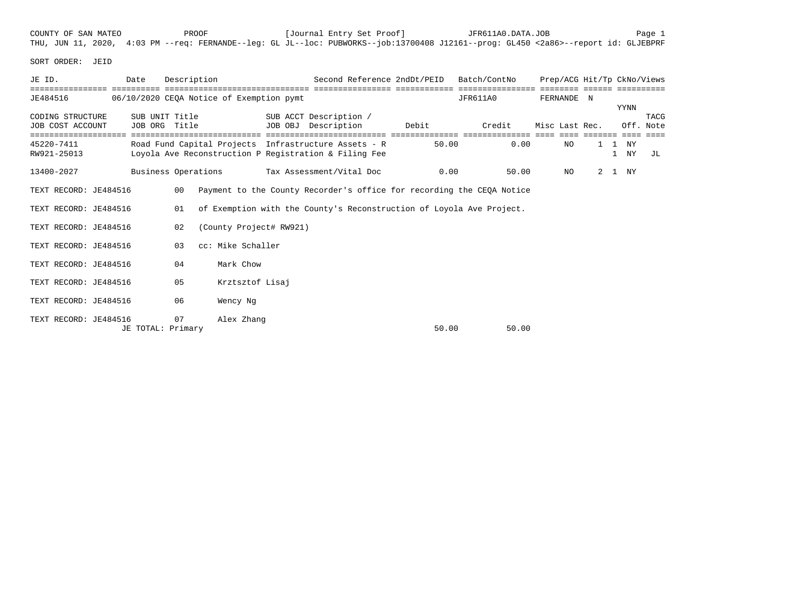|  | COUNTY OF SAN MATEO |  | PROOF |  | [Journal Entry Set Proof] |  | JFR611A0.DATA.JOB |                                                                                                                                     | Page 1 |
|--|---------------------|--|-------|--|---------------------------|--|-------------------|-------------------------------------------------------------------------------------------------------------------------------------|--------|
|  |                     |  |       |  |                           |  |                   | THU, JUN 11, 2020, 4:03 PM --req: FERNANDE--leq: GL JL--loc: PUBWORKS--job:13700408 J12161--proq: GL450 <2a86>--report id: GLJEBPRF |        |

SORT ORDER: JEID

| JE ID.                               | Date                | Description                     |                                          |                         | Second Reference 2ndDt/PEID                                                                                   |       | Batch/ContNo |                | Prep/ACG Hit/Tp CkNo/Views |                 |              |
|--------------------------------------|---------------------|---------------------------------|------------------------------------------|-------------------------|---------------------------------------------------------------------------------------------------------------|-------|--------------|----------------|----------------------------|-----------------|--------------|
| ================<br>JE484516         |                     |                                 | 06/10/2020 CEQA Notice of Exemption pymt |                         |                                                                                                               |       | JFR611A0     | FERNANDE N     | eeeeeee eeeee              | YYNN            |              |
| CODING STRUCTURE<br>JOB COST ACCOUNT |                     | SUB UNIT Title<br>JOB ORG Title |                                          |                         | SUB ACCT Description /<br>JOB OBJ Description                                                                 | Debit | Credit       | Misc Last Rec. |                            | Off.            | TACG<br>Note |
| 45220-7411<br>RW921-25013            |                     |                                 |                                          |                         | Road Fund Capital Projects Infrastructure Assets - R<br>Loyola Ave Reconstruction P Registration & Filing Fee | 50.00 | 0.00         | NO             |                            | 1 NY<br>1<br>NY | JL           |
| 13400-2027                           | Business Operations |                                 |                                          |                         | Tax Assessment/Vital Doc                                                                                      | 0.00  | 50.00        | NO             | 2                          | 1 NY            |              |
| TEXT RECORD: JE484516                |                     | 00                              |                                          |                         | Payment to the County Recorder's office for recording the CEQA Notice                                         |       |              |                |                            |                 |              |
| TEXT RECORD: JE484516                |                     | 01                              |                                          |                         | of Exemption with the County's Reconstruction of Loyola Ave Project.                                          |       |              |                |                            |                 |              |
| TEXT RECORD: JE484516                |                     | 02                              |                                          | (County Project# RW921) |                                                                                                               |       |              |                |                            |                 |              |
| TEXT RECORD: JE484516                |                     | 03                              | cc: Mike Schaller                        |                         |                                                                                                               |       |              |                |                            |                 |              |
| TEXT RECORD: JE484516                |                     | 04                              | Mark Chow                                |                         |                                                                                                               |       |              |                |                            |                 |              |
| TEXT RECORD: JE484516                |                     | 05                              |                                          | Krztsztof Lisaj         |                                                                                                               |       |              |                |                            |                 |              |
| TEXT RECORD: JE484516                |                     | 06                              | Wency Nq                                 |                         |                                                                                                               |       |              |                |                            |                 |              |
| TEXT RECORD: JE484516                | JE TOTAL: Primary   | 07                              | Alex Zhang                               |                         |                                                                                                               | 50.00 | 50.00        |                |                            |                 |              |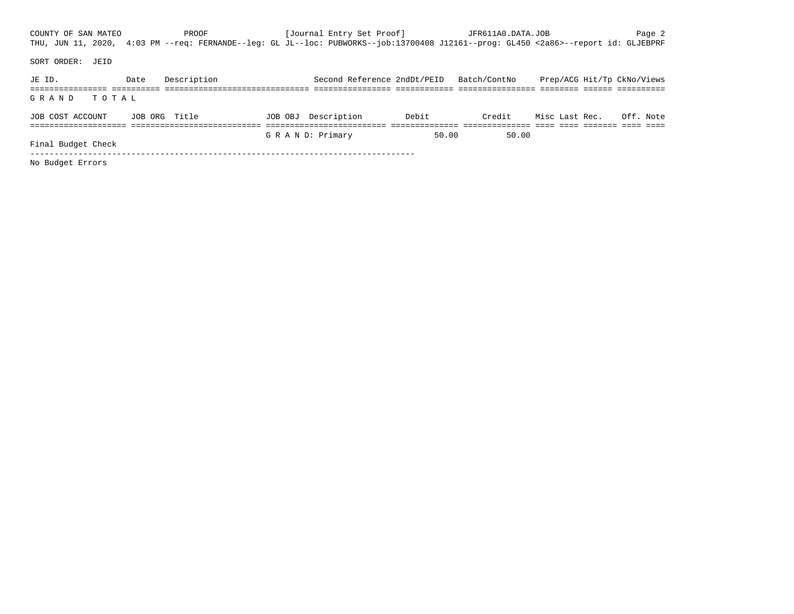COUNTY OF SAN MATEO **PROOF** PROOF [Journal Entry Set Proof] JFR611A0.DATA.JOB Page 2 THU, JUN 11, 2020, 4:03 PM --req: FERNANDE--leg: GL JL--loc: PUBWORKS--job:13700408 J12161--prog: GL450 <2a86>--report id: GLJEBPRF SORT ORDER: JEID JE ID. Date Description Second Reference 2ndDt/PEID Batch/ContNo Prep/ACG Hit/Tp CkNo/Views ================ ========== ============================== ================ ============ ================ ======== ====== ========== G R A N D T O T A L JOB COST ACCOUNT JOB ORG Title JOB OBJ Description Debit Credit Misc Last Rec. Off. Note ==================== =========================== ========================= ============== ============== ==== ==== ======= ==== ==== G R A N D: Primary 50.00 50.00 Final Budget Check -------------------------------------------------------------------------------- No Budget Errors